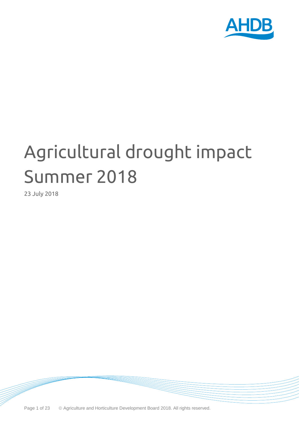

# Agricultural drought impact Summer 2018

23 July 2018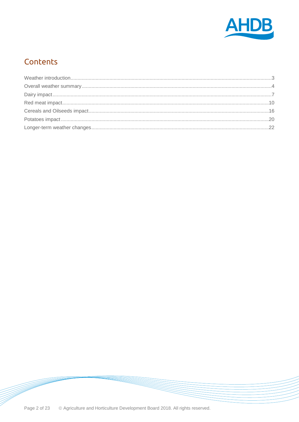

### Contents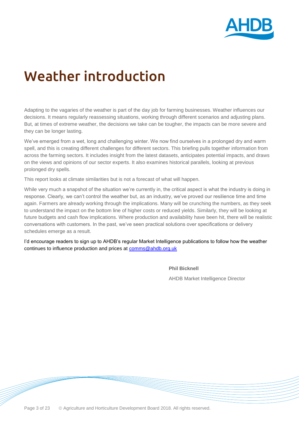

### <span id="page-2-0"></span>Weather introduction

Adapting to the vagaries of the weather is part of the day job for farming businesses. Weather influences our decisions. It means regularly reassessing situations, working through different scenarios and adjusting plans. But, at times of extreme weather, the decisions we take can be tougher, the impacts can be more severe and they can be longer lasting.

We've emerged from a wet, long and challenging winter. We now find ourselves in a prolonged dry and warm spell, and this is creating different challenges for different sectors. This briefing pulls together information from across the farming sectors. It includes insight from the latest datasets, anticipates potential impacts, and draws on the views and opinions of our sector experts. It also examines historical parallels, looking at previous prolonged dry spells.

This report looks at climate similarities but is not a forecast of what will happen.

While very much a snapshot of the situation we're currently in, the critical aspect is what the industry is doing in response. Clearly, we can't control the weather but, as an industry, we've proved our resilience time and time again. Farmers are already working through the implications. Many will be crunching the numbers, as they seek to understand the impact on the bottom line of higher costs or reduced yields. Similarly, they will be looking at future budgets and cash flow implications. Where production and availability have been hit, there will be realistic conversations with customers. In the past, we've seen practical solutions over specifications or delivery schedules emerge as a result.

<span id="page-2-1"></span>I'd encourage readers to sign up to AHDB's regular Market Intelligence publications to follow how the weather continues to influence production and prices at [comms@ahdb.org.uk](mailto:comms@ahdb.org.uk)

> **Phil Bicknell** AHDB Market Intelligence Director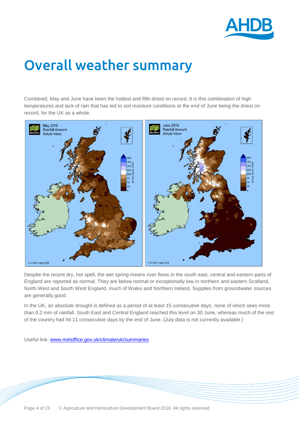

### Overall weather summary

Combined, May and June have been the hottest and fifth driest on record. It is this combination of high temperatures and lack of rain that has led to soil moisture conditions at the end of June being the driest on record, for the UK as a whole.



Despite the recent dry, hot spell, the wet spring means river flows in the south east, central and eastern parts of England are reported as normal. They are below normal or exceptionally low in northern and eastern Scotland, North West and South West England, much of Wales and Northern Ireland. Supplies from groundwater sources are generally good.

In the UK, an absolute drought is defined as a period of at least 15 consecutive days, none of which sees more than 0.2 mm of rainfall. South East and Central England reached this level on 30 June, whereas much of the rest of the country had hit 11 consecutive days by the end of June. (July data is not currently available.)

Useful link: [www.metoffice.gov.uk/climate/uk/summaries](http://www.metoffice.gov.uk/climate/uk/summaries)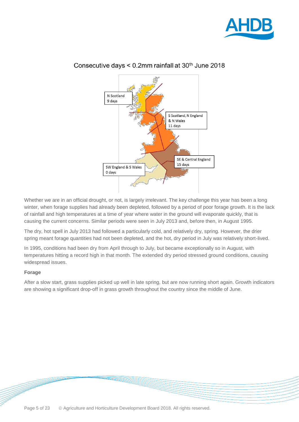



#### Consecutive days < 0.2mm rainfall at 30<sup>th</sup> June 2018

Whether we are in an official drought, or not, is largely irrelevant. The key challenge this year has been a long winter, when forage supplies had already been depleted, followed by a period of poor forage growth. It is the lack of rainfall and high temperatures at a time of year where water in the ground will evaporate quickly, that is causing the current concerns. Similar periods were seen in July 2013 and, before then, in August 1995.

The dry, hot spell in July 2013 had followed a particularly cold, and relatively dry, spring. However, the drier spring meant forage quantities had not been depleted, and the hot, dry period in July was relatively short-lived.

In 1995, conditions had been dry from April through to July, but became exceptionally so in August, with temperatures hitting a record high in that month. The extended dry period stressed ground conditions, causing widespread issues.

#### **Forage**

After a slow start, grass supplies picked up well in late spring, but are now running short again. Growth indicators are showing a significant drop-off in grass growth throughout the country since the middle of June.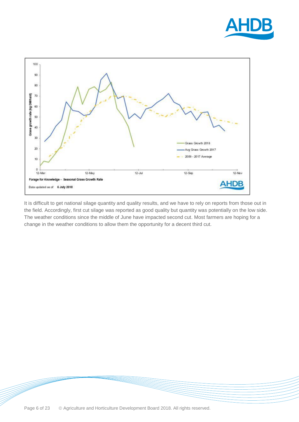



It is difficult to get national silage quantity and quality results, and we have to rely on reports from those out in the field. Accordingly, first cut silage was reported as good quality but quantity was potentially on the low side. The weather conditions since the middle of June have impacted second cut. Most farmers are hoping for a change in the weather conditions to allow them the opportunity for a decent third cut.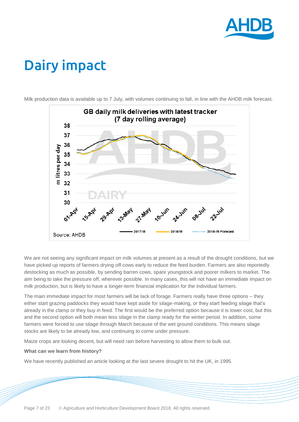

## <span id="page-6-0"></span>Dairy impact

Milk production data is available up to 7 July, with volumes continuing to fall, in line with the AHDB milk forecast.



We are not seeing any significant impact on milk volumes at present as a result of the drought conditions, but we have picked up reports of farmers drying off cows early to reduce the feed burden. Farmers are also reportedly destocking as much as possible, by sending barren cows, spare youngstock and poorer milkers to market. The aim being to take the pressure off, wherever possible. In many cases, this will not have an immediate impact on milk production, but is likely to have a longer-term financial implication for the individual farmers.

The main immediate impact for most farmers will be lack of forage. Farmers really have three options – they either start grazing paddocks they would have kept aside for silage-making, or they start feeding silage that's already in the clamp or they buy in feed. The first would be the preferred option because it is lower cost, but this and the second option will both mean less silage in the clamp ready for the winter period. In addition, some farmers were forced to use silage through March because of the wet ground conditions. This means silage stocks are likely to be already low, and continuing to come under pressure.

Maize crops are looking decent, but will need rain before harvesting to allow them to bulk out.

#### **What can we learn from history?**

We have recently published an article looking at the last severe drought to hit the UK, in 1995.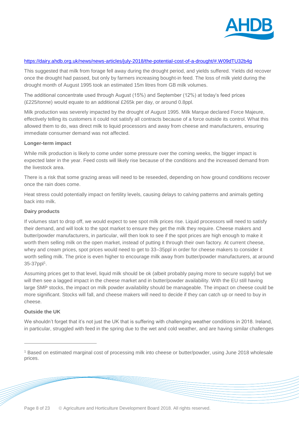

#### <https://dairy.ahdb.org.uk/news/news-articles/july-2018/the-potential-cost-of-a-drought/#.W09dTU32b4g>

This suggested that milk from forage fell away during the drought period, and yields suffered. Yields did recover once the drought had passed, but only by farmers increasing bought-in feed. The loss of milk yield during the drought month of August 1995 took an estimated 15m litres from GB milk volumes.

The additional concentrate used through August (15%) and September (12%) at today's feed prices (£225/tonne) would equate to an additional £265k per day, or around 0.8ppl.

Milk production was severely impacted by the drought of August 1995. Milk Marque declared Force Majeure, effectively telling its customers it could not satisfy all contracts because of a force outside its control. What this allowed them to do, was direct milk to liquid processors and away from cheese and manufacturers, ensuring immediate consumer demand was not affected.

#### **Longer-term impact**

While milk production is likely to come under some pressure over the coming weeks, the bigger impact is expected later in the year. Feed costs will likely rise because of the conditions and the increased demand from the livestock area.

There is a risk that some grazing areas will need to be reseeded, depending on how ground conditions recover once the rain does come.

Heat stress could potentially impact on fertility levels, causing delays to calving patterns and animals getting back into milk.

#### **Dairy products**

If volumes start to drop off, we would expect to see spot milk prices rise. Liquid processors will need to satisfy their demand, and will look to the spot market to ensure they get the milk they require. Cheese makers and butter/powder manufacturers, in particular, will then look to see if the spot prices are high enough to make it worth them selling milk on the open market, instead of putting it through their own factory. At current cheese, whey and cream prices, spot prices would need to get to 33–35ppl in order for cheese makers to consider it worth selling milk. The price is even higher to encourage milk away from butter/powder manufacturers, at around 35-37ppl<sup>1</sup>.

Assuming prices get to that level, liquid milk should be ok (albeit probably paying more to secure supply) but we will then see a lagged impact in the cheese market and in butter/powder availability. With the EU still having large SMP stocks, the impact on milk powder availability should be manageable. The impact on cheese could be more significant. Stocks will fall, and cheese makers will need to decide if they can catch up or need to buy in cheese.

#### **Outside the UK**

 $\overline{a}$ 

We shouldn't forget that it's not just the UK that is suffering with challenging weather conditions in 2018. Ireland, in particular, struggled with feed in the spring due to the wet and cold weather, and are having similar challenges

<sup>1</sup> Based on estimated marginal cost of processing milk into cheese or butter/powder, using June 2018 wholesale prices.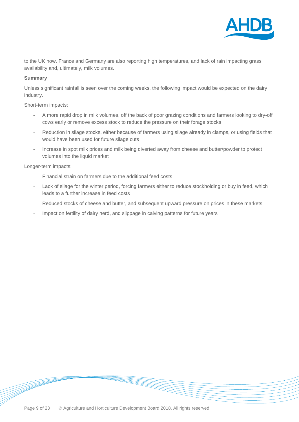

to the UK now. France and Germany are also reporting high temperatures, and lack of rain impacting grass availability and, ultimately, milk volumes.

#### **Summary**

Unless significant rainfall is seen over the coming weeks, the following impact would be expected on the dairy industry.

Short-term impacts:

- A more rapid drop in milk volumes, off the back of poor grazing conditions and farmers looking to dry-off cows early or remove excess stock to reduce the pressure on their forage stocks
- Reduction in silage stocks, either because of farmers using silage already in clamps, or using fields that would have been used for future silage cuts
- Increase in spot milk prices and milk being diverted away from cheese and butter/powder to protect volumes into the liquid market

Longer-term impacts:

- Financial strain on farmers due to the additional feed costs
- Lack of silage for the winter period, forcing farmers either to reduce stockholding or buy in feed, which leads to a further increase in feed costs
- Reduced stocks of cheese and butter, and subsequent upward pressure on prices in these markets
- Impact on fertility of dairy herd, and slippage in calving patterns for future years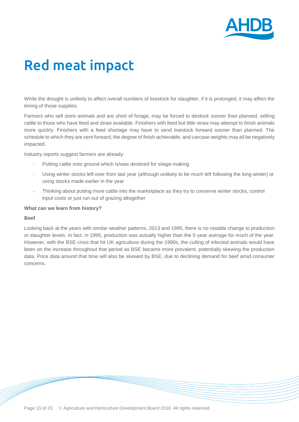

### <span id="page-9-0"></span>Red meat impact

While the drought is unlikely to affect overall numbers of livestock for slaughter, if it is prolonged, it may affect the timing of those supplies.

Farmers who sell store animals and are short of forage, may be forced to destock sooner than planned, selling cattle to those who have feed and straw available. Finishers with feed but little straw may attempt to finish animals more quickly. Finishers with a feed shortage may have to send livestock forward sooner than planned. The schedule to which they are sent forward, the degree of finish achievable, and carcase weights may all be negatively impacted.

Industry reports suggest farmers are already:

- Putting cattle onto ground which is/was destined for silage-making
- Using winter stocks left over from last year (although unlikely to be much left following the long winter) or using stocks made earlier in the year
- Thinking about putting more cattle into the marketplace as they try to conserve winter stocks, control input costs or just run out of grazing altogether

#### **What can we learn from history?**

#### **Beef**

Looking back at the years with similar weather patterns, 2013 and 1995, there is no notable change to production or slaughter levels. In fact, in 1995, production was actually higher than the 5-year average for much of the year. However, with the BSE crisis that hit UK agriculture during the 1990s, the culling of infected animals would have been on the increase throughout that period as BSE became more prevalent, potentially skewing the production data. Price data around that time will also be skewed by BSE, due to declining demand for beef amid consumer concerns.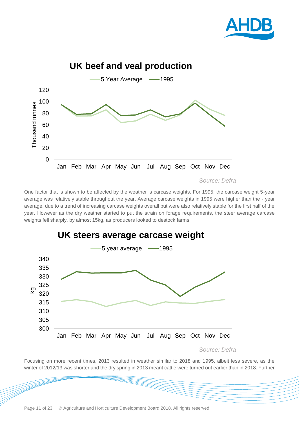



One factor that is shown to be affected by the weather is carcase weights. For 1995, the carcase weight 5-year average was relatively stable throughout the year. Average carcase weights in 1995 were higher than the - year average, due to a trend of increasing carcase weights overall but were also relatively stable for the first half of the year. However as the dry weather started to put the strain on forage requirements, the steer average carcase weights fell sharply, by almost 15kg, as producers looked to destock farms.



#### Focusing on more recent times, 2013 resulted in weather similar to 2018 and 1995, albeit less severe, as the winter of 2012/13 was shorter and the dry spring in 2013 meant cattle were turned out earlier than in 2018. Further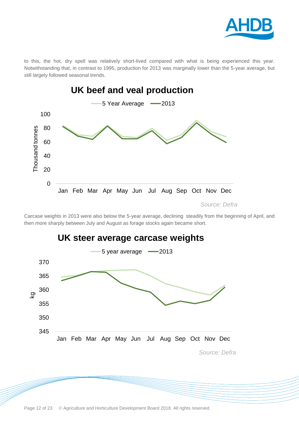

to this, the hot, dry spell was relatively short-lived compared with what is being experienced this year. Notwithstanding that, in contrast to 1995, production for 2013 was marginally lower than the 5-year average, but still largely followed seasonal trends.



Carcase weights in 2013 were also below the 5-year average, declining steadily from the beginning of April, and then more sharply between July and August as forage stocks again became short.

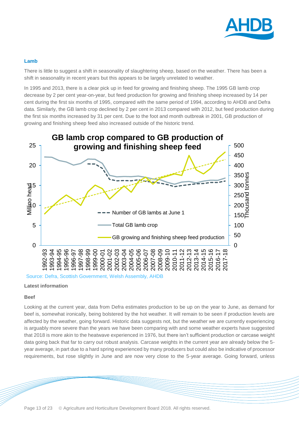

#### **Lamb**

There is little to suggest a shift in seasonality of slaughtering sheep, based on the weather. There has been a shift in seasonality in recent years but this appears to be largely unrelated to weather.

In 1995 and 2013, there is a clear pick up in feed for growing and finishing sheep. The 1995 GB lamb crop decrease by 2 per cent year-on-year, but feed production for growing and finishing sheep increased by 14 per cent during the first six months of 1995, compared with the same period of 1994, according to AHDB and Defra data. Similarly, the GB lamb crop declined by 2 per cent in 2013 compared with 2012, but feed production during the first six months increased by 31 per cent. Due to the foot and month outbreak in 2001, GB production of growing and finishing sheep feed also increased outside of the historic trend.



Source: Defra, Scottish Government, Welsh Assembly, AHDB

#### **Latest information**

#### **Beef**

Looking at the current year, data from Defra estimates production to be up on the year to June, as demand for beef is, somewhat ironically, being bolstered by the hot weather. It will remain to be seen if production levels are affected by the weather, going forward. Historic data suggests not, but the weather we are currently experiencing is arguably more severe than the years we have been comparing with and some weather experts have suggested that 2018 is more akin to the heatwave experienced in 1976, but there isn't sufficient production or carcase weight data going back that far to carry out robust analysis. Carcase weights in the current year are already below the 5 year average, in part due to a hard spring experienced by many producers but could also be indicative of processor requirements, but rose slightly in June and are now very close to the 5-year average. Going forward, unless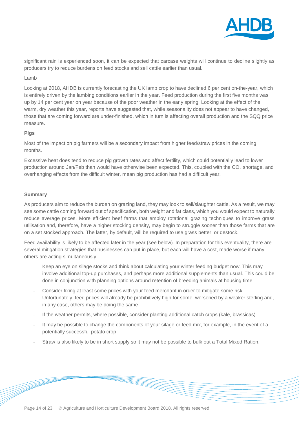

significant rain is experienced soon, it can be expected that carcase weights will continue to decline slightly as producers try to reduce burdens on feed stocks and sell cattle earlier than usual.

#### Lamb

Looking at 2018, AHDB is currently forecasting the UK lamb crop to have declined 6 per cent on-the-year, which is entirely driven by the lambing conditions earlier in the year. Feed production during the first five months was up by 14 per cent year on year because of the poor weather in the early spring. Looking at the effect of the warm, dry weather this year, reports have suggested that, while seasonality does not appear to have changed, those that are coming forward are under-finished, which in turn is affecting overall production and the SQQ price measure.

#### **Pigs**

Most of the impact on pig farmers will be a secondary impact from higher feed/straw prices in the coming months.

Excessive heat does tend to reduce pig growth rates and affect fertility, which could potentially lead to lower production around Jan/Feb than would have otherwise been expected. This, coupled with the CO<sub>2</sub> shortage, and overhanging effects from the difficult winter, mean pig production has had a difficult year.

#### **Summary**

As producers aim to reduce the burden on grazing land, they may look to sell/slaughter cattle. As a result, we may see some cattle coming forward out of specification, both weight and fat class, which you would expect to naturally reduce average prices. More efficient beef farms that employ rotational grazing techniques to improve grass utilisation and, therefore, have a higher stocking density, may begin to struggle sooner than those farms that are on a set stocked approach. The latter, by default, will be required to use grass better, or destock.

Feed availability is likely to be affected later in the year (see below). In preparation for this eventuality, there are several mitigation strategies that businesses can put in place, but each will have a cost, made worse if many others are acting simultaneously.

- Keep an eye on silage stocks and think about calculating your winter feeding budget now. This may involve additional top-up purchases, and perhaps more additional supplements than usual. This could be done in conjunction with planning options around retention of breeding animals at housing time
- Consider fixing at least some prices with your feed merchant in order to mitigate some risk. Unfortunately, feed prices will already be prohibitively high for some, worsened by a weaker sterling and, in any case, others may be doing the same
- If the weather permits, where possible, consider planting additional catch crops (kale, brassicas)
- It may be possible to change the components of your silage or feed mix, for example, in the event of a potentially successful potato crop
- Straw is also likely to be in short supply so it may not be possible to bulk out a Total Mixed Ration.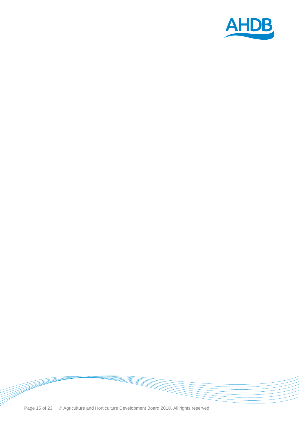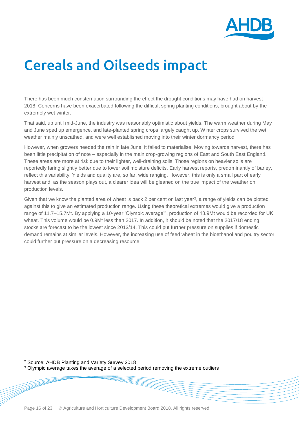

### <span id="page-15-0"></span>Cereals and Oilseeds impact

There has been much consternation surrounding the effect the drought conditions may have had on harvest 2018. Concerns have been exacerbated following the difficult spring planting conditions, brought about by the extremely wet winter.

That said, up until mid-June, the industry was reasonably optimistic about yields. The warm weather during May and June sped up emergence, and late-planted spring crops largely caught up. Winter crops survived the wet weather mainly unscathed, and were well established moving into their winter dormancy period.

However, when growers needed the rain in late June, it failed to materialise. Moving towards harvest, there has been little precipitation of note – especially in the main crop-growing regions of East and South East England. These areas are more at risk due to their lighter, well-draining soils. Those regions on heavier soils are reportedly faring slightly better due to lower soil moisture deficits. Early harvest reports, predominantly of barley, reflect this variability. Yields and quality are, so far, wide ranging. However, this is only a small part of early harvest and, as the season plays out, a clearer idea will be gleaned on the true impact of the weather on production levels.

Given that we know the planted area of wheat is back 2 per cent on last year<sup>2</sup>, a range of yields can be plotted against this to give an estimated production range. Using these theoretical extremes would give a production range of 11.7–15.7Mt. By applying a 10-year 'Olympic average<sup>3</sup>', production of 13.9Mt would be recorded for UK wheat. This volume would be 0.9Mt less than 2017. In addition, it should be noted that the 2017/18 ending stocks are forecast to be the lowest since 2013/14. This could put further pressure on supplies if domestic demand remains at similar levels. However, the increasing use of feed wheat in the bioethanol and poultry sector could further put pressure on a decreasing resource.

 $\overline{a}$ 

<sup>2</sup> Source: AHDB Planting and Variety Survey 2018

<sup>&</sup>lt;sup>3</sup> Olympic average takes the average of a selected period removing the extreme outliers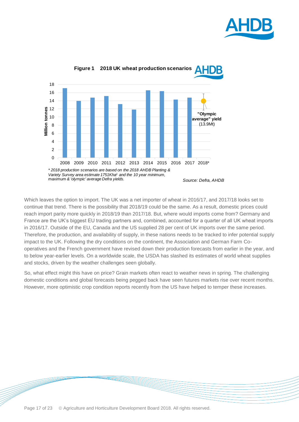



Which leaves the option to import. The UK was a net importer of wheat in 2016/17, and 2017/18 looks set to continue that trend. There is the possibility that 2018/19 could be the same. As a result, domestic prices could reach import parity more quickly in 2018/19 than 2017/18. But, where would imports come from? Germany and France are the UK's biggest EU trading partners and, combined, accounted for a quarter of all UK wheat imports in 2016/17. Outside of the EU, Canada and the US supplied 28 per cent of UK imports over the same period. Therefore, the production, and availability of supply, in these nations needs to be tracked to infer potential supply impact to the UK. Following the dry conditions on the continent, the Association and German Farm Cooperatives and the French government have revised down their production forecasts from earlier in the year, and to below year-earlier levels. On a worldwide scale, the USDA has slashed its estimates of world wheat supplies and stocks, driven by the weather challenges seen globally.

So, what effect might this have on price? Grain markets often react to weather news in spring. The challenging domestic conditions and global forecasts being pegged back have seen futures markets rise over recent months. However, more optimistic crop condition reports recently from the US have helped to temper these increases.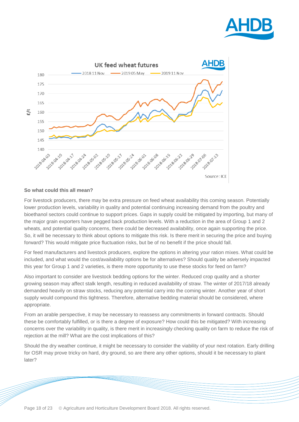



#### **So what could this all mean?**

For livestock producers, there may be extra pressure on feed wheat availability this coming season. Potentially lower production levels, variability in quality and potential continuing increasing demand from the poultry and bioethanol sectors could continue to support prices. Gaps in supply could be mitigated by importing, but many of the major grain exporters have pegged back production levels. With a reduction in the area of Group 1 and 2 wheats, and potential quality concerns, there could be decreased availability, once again supporting the price. So, it will be necessary to think about options to mitigate this risk. Is there merit in securing the price and buying forward? This would mitigate price fluctuation risks, but be of no benefit if the price should fall.

For feed manufacturers and livestock producers, explore the options in altering your ration mixes. What could be included, and what would the cost/availability options be for alternatives? Should quality be adversely impacted this year for Group 1 and 2 varieties, is there more opportunity to use these stocks for feed on farm?

Also important to consider are livestock bedding options for the winter. Reduced crop quality and a shorter growing season may affect stalk length, resulting in reduced availability of straw. The winter of 2017/18 already demanded heavily on straw stocks, reducing any potential carry into the coming winter. Another year of short supply would compound this tightness. Therefore, alternative bedding material should be considered, where appropriate.

From an arable perspective, it may be necessary to reassess any commitments in forward contracts. Should these be comfortably fulfilled, or is there a degree of exposure? How could this be mitigated? With increasing concerns over the variability in quality, is there merit in increasingly checking quality on farm to reduce the risk of rejection at the mill? What are the cost implications of this?

Should the dry weather continue, it might be necessary to consider the viability of your next rotation. Early drilling for OSR may prove tricky on hard, dry ground, so are there any other options, should it be necessary to plant later?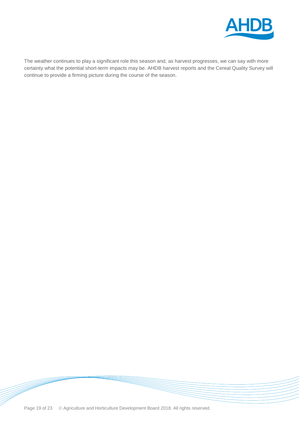

The weather continues to play a significant role this season and, as harvest progresses, we can say with more certainty what the potential short-term impacts may be. AHDB harvest reports and the Cereal Quality Survey will continue to provide a firming picture during the course of the season.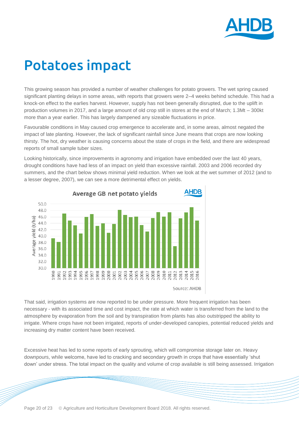

### <span id="page-19-0"></span>Potatoes impact

This growing season has provided a number of weather challenges for potato growers. The wet spring caused significant planting delays in some areas, with reports that growers were 2–4 weeks behind schedule. This had a knock-on effect to the earlies harvest. However, supply has not been generally disrupted, due to the uplift in production volumes in 2017, and a large amount of old crop still in stores at the end of March; 1.3Mt – 300kt more than a year earlier. This has largely dampened any sizeable fluctuations in price.

Favourable conditions in May caused crop emergence to accelerate and, in some areas, almost negated the impact of late planting. However, the lack of significant rainfall since June means that crops are now looking thirsty. The hot, dry weather is causing concerns about the state of crops in the field, and there are widespread reports of small sample tuber sizes.

Looking historically, since improvements in agronomy and irrigation have embedded over the last 40 years, drought conditions have had less of an impact on yield than excessive rainfall. 2003 and 2006 recorded dry summers, and the chart below shows minimal yield reduction. When we look at the wet summer of 2012 (and to a lesser degree, 2007), we can see a more detrimental effect on yields.



Source: AHDB

That said, irrigation systems are now reported to be under pressure. More frequent irrigation has been necessary - with its associated time and cost impact, the rate at which water is transferred from the land to the atmosphere by evaporation from the soil and by transpiration from plants has also outstripped the ability to irrigate. Where crops have not been irrigated, reports of under-developed canopies, potential reduced yields and increasing dry matter content have been received.

Excessive heat has led to some reports of early sprouting, which will compromise storage later on. Heavy downpours, while welcome, have led to cracking and secondary growth in crops that have essentially 'shut down' under stress. The total impact on the quality and volume of crop available is still being assessed. Irrigation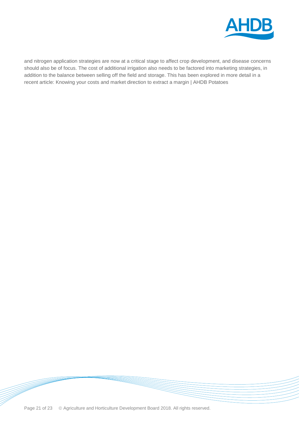

and nitrogen application strategies are now at a critical stage to affect crop development, and disease concerns should also be of focus. The cost of additional irrigation also needs to be factored into marketing strategies, in addition to the balance between selling off the field and storage. This has been explored in more detail in a recent article: [Knowing your costs and market direction to extract a margin | AHDB Potatoes](https://potatoes.ahdb.org.uk/publications/knowing-your-costs-and-market-direction-extract-margin)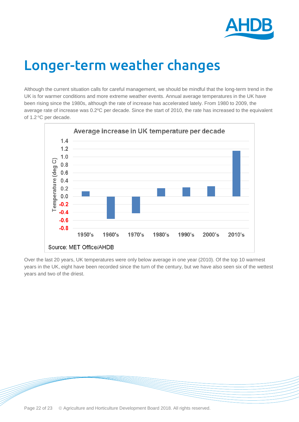

### <span id="page-21-0"></span>Longer-term weather changes

Although the current situation calls for careful management, we should be mindful that the long-term trend in the UK is for warmer conditions and more extreme weather events. Annual average temperatures in the UK have been rising since the 1980s, although the rate of increase has accelerated lately. From 1980 to 2009, the average rate of increase was 0.2°C per decade. Since the start of 2010, the rate has increased to the equivalent of 1.2 °C per decade.



Over the last 20 years, UK temperatures were only below average in one year (2010). Of the top 10 warmest years in the UK, eight have been recorded since the turn of the century, but we have also seen six of the wettest years and two of the driest.